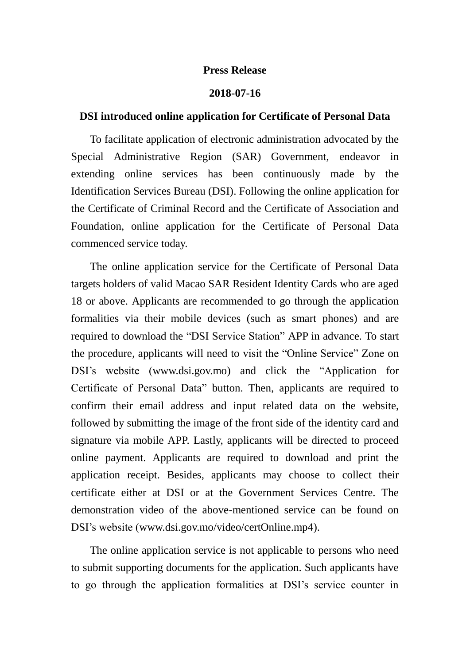## **Press Release**

## **2018-07-16**

## **DSI introduced online application for Certificate of Personal Data**

To facilitate application of electronic administration advocated by the Special Administrative Region (SAR) Government, endeavor in extending online services has been continuously made by the Identification Services Bureau (DSI). Following the online application for the Certificate of Criminal Record and the Certificate of Association and Foundation, online application for the Certificate of Personal Data commenced service today.

The online application service for the Certificate of Personal Data targets holders of valid Macao SAR Resident Identity Cards who are aged 18 or above. Applicants are recommended to go through the application formalities via their mobile devices (such as smart phones) and are required to download the "DSI Service Station" APP in advance. To start the procedure, applicants will need to visit the "Online Service" Zone on DSI's website (www.dsi.gov.mo) and click the "Application for Certificate of Personal Data" button. Then, applicants are required to confirm their email address and input related data on the website, followed by submitting the image of the front side of the identity card and signature via mobile APP. Lastly, applicants will be directed to proceed online payment. Applicants are required to download and print the application receipt. Besides, applicants may choose to collect their certificate either at DSI or at the Government Services Centre. The demonstration video of the above-mentioned service can be found on DSI's website (www.dsi.gov.mo/video/certOnline.mp4).

The online application service is not applicable to persons who need to submit supporting documents for the application. Such applicants have to go through the application formalities at DSI's service counter in